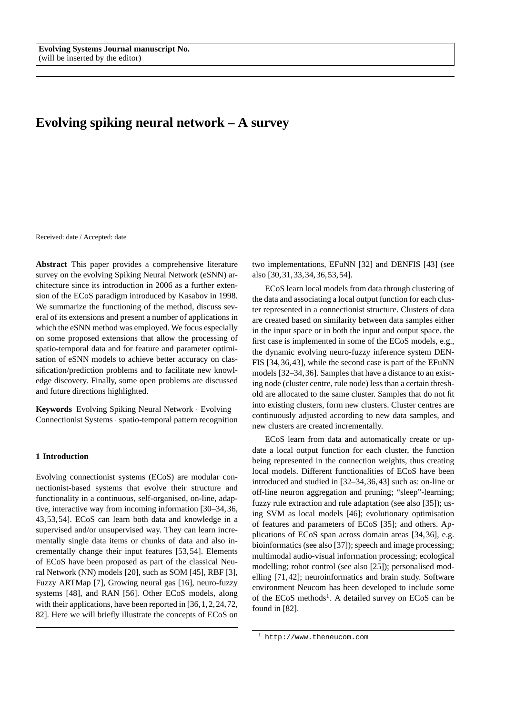# **Evolving spiking neural network – A survey**

Received: date / Accepted: date

**Abstract** This paper provides a comprehensive literature survey on the evolving Spiking Neural Network (eSNN) architecture since its introduction in 2006 as a further extension of the ECoS paradigm introduced by Kasabov in 1998. We summarize the functioning of the method, discuss several of its extensions and present a number of applications in which the eSNN method was employed. We focus especially on some proposed extensions that allow the processing of spatio-temporal data and for feature and parameter optimisation of eSNN models to achieve better accuracy on classification/prediction problems and to facilitate new knowledge discovery. Finally, some open problems are discussed and future directions highlighted.

**Keywords** Evolving Spiking Neural Network · Evolving Connectionist Systems · spatio-temporal pattern recognition

# **1 Introduction**

Evolving connectionist systems (ECoS) are modular connectionist-based systems that evolve their structure and functionality in a continuous, self-organised, on-line, adaptive, interactive way from incoming information [30–34,36, 43,53,54]. ECoS can learn both data and knowledge in a supervised and/or unsupervised way. They can learn incrementally single data items or chunks of data and also incrementally change their input features [53,54]. Elements of ECoS have been proposed as part of the classical Neural Network (NN) models [20], such as SOM [45], RBF [3], Fuzzy ARTMap [7], Growing neural gas [16], neuro-fuzzy systems [48], and RAN [56]. Other ECoS models, along with their applications, have been reported in [36, 1, 2, 24, 72, 82]. Here we will briefly illustrate the concepts of ECoS on two implementations, EFuNN [32] and DENFIS [43] (see also [30,31,33,34,36,53,54].

ECoS learn local models from data through clustering of the data and associating a local output function for each cluster represented in a connectionist structure. Clusters of data are created based on similarity between data samples either in the input space or in both the input and output space. the first case is implemented in some of the ECoS models, e.g., the dynamic evolving neuro-fuzzy inference system DEN-FIS [34,36,43], while the second case is part of the EFuNN models [32–34,36]. Samples that have a distance to an existing node (cluster centre, rule node) less than a certain threshold are allocated to the same cluster. Samples that do not fit into existing clusters, form new clusters. Cluster centres are continuously adjusted according to new data samples, and new clusters are created incrementally.

ECoS learn from data and automatically create or update a local output function for each cluster, the function being represented in the connection weights, thus creating local models. Different functionalities of ECoS have been introduced and studied in [32–34,36,43] such as: on-line or off-line neuron aggregation and pruning; "sleep"-learning; fuzzy rule extraction and rule adaptation (see also [35]); using SVM as local models [46]; evolutionary optimisation of features and parameters of ECoS [35]; and others. Applications of ECoS span across domain areas [34,36], e.g. bioinformatics (see also [37]); speech and image processing; multimodal audio-visual information processing; ecological modelling; robot control (see also [25]); personalised modelling [71,42]; neuroinformatics and brain study. Software environment Neucom has been developed to include some of the ECoS methods<sup>1</sup>. A detailed survey on ECoS can be found in [82].

<sup>1</sup> http://www.theneucom.com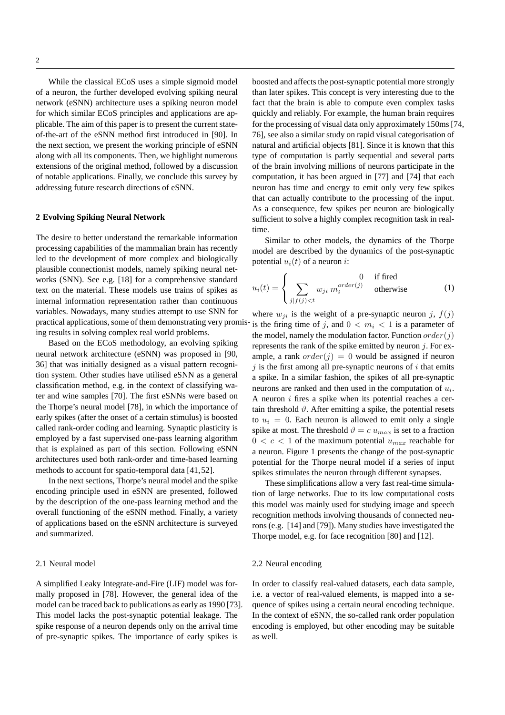While the classical ECoS uses a simple sigmoid model of a neuron, the further developed evolving spiking neural network (eSNN) architecture uses a spiking neuron model for which similar ECoS principles and applications are applicable. The aim of this paper is to present the current stateof-the-art of the eSNN method first introduced in [90]. In the next section, we present the working principle of eSNN along with all its components. Then, we highlight numerous extensions of the original method, followed by a discussion of notable applications. Finally, we conclude this survey by addressing future research directions of eSNN.

# **2 Evolving Spiking Neural Network**

The desire to better understand the remarkable information processing capabilities of the mammalian brain has recently led to the development of more complex and biologically plausible connectionist models, namely spiking neural networks (SNN). See e.g. [18] for a comprehensive standard text on the material. These models use trains of spikes as internal information representation rather than continuous variables. Nowadays, many studies attempt to use SNN for practical applications, some of them demonstrating very promis- is the firing time of j, and  $0 < m_i < 1$  is a parameter of ing results in solving complex real world problems.

Based on the ECoS methodology, an evolving spiking neural network architecture (eSNN) was proposed in [90, 36] that was initially designed as a visual pattern recognition system. Other studies have utilised eSNN as a general classification method, e.g. in the context of classifying water and wine samples [70]. The first eSNNs were based on the Thorpe's neural model [78], in which the importance of early spikes (after the onset of a certain stimulus) is boosted called rank-order coding and learning. Synaptic plasticity is employed by a fast supervised one-pass learning algorithm that is explained as part of this section. Following eSNN architectures used both rank-order and time-based learning methods to account for spatio-temporal data [41,52].

In the next sections, Thorpe's neural model and the spike encoding principle used in eSNN are presented, followed by the description of the one-pass learning method and the overall functioning of the eSNN method. Finally, a variety of applications based on the eSNN architecture is surveyed and summarized.

# 2.1 Neural model

A simplified Leaky Integrate-and-Fire (LIF) model was formally proposed in [78]. However, the general idea of the model can be traced back to publications as early as 1990 [73]. This model lacks the post-synaptic potential leakage. The spike response of a neuron depends only on the arrival time of pre-synaptic spikes. The importance of early spikes is

boosted and affects the post-synaptic potential more strongly than later spikes. This concept is very interesting due to the fact that the brain is able to compute even complex tasks quickly and reliably. For example, the human brain requires for the processing of visual data only approximately 150ms [74, 76], see also a similar study on rapid visual categorisation of natural and artificial objects [81]. Since it is known that this type of computation is partly sequential and several parts of the brain involving millions of neurons participate in the computation, it has been argued in [77] and [74] that each neuron has time and energy to emit only very few spikes that can actually contribute to the processing of the input. As a consequence, few spikes per neuron are biologically sufficient to solve a highly complex recognition task in realtime.

Similar to other models, the dynamics of the Thorpe model are described by the dynamics of the post-synaptic potential  $u_i(t)$  of a neuron *i*:

$$
u_i(t) = \begin{cases} 0 & \text{if fired} \\ \sum_{j|f(j) < t} w_{ji} \, m_i^{order(j)} & \text{otherwise} \end{cases} \tag{1}
$$

where  $w_{ji}$  is the weight of a pre-synaptic neuron j,  $f(j)$ the model, namely the modulation factor. Function  $order(j)$ represents the rank of the spike emitted by neuron  $j$ . For example, a rank  $order(j) = 0$  would be assigned if neuron  $j$  is the first among all pre-synaptic neurons of  $i$  that emits a spike. In a similar fashion, the spikes of all pre-synaptic neurons are ranked and then used in the computation of  $u_i$ . A neuron  $i$  fires a spike when its potential reaches a certain threshold  $\vartheta$ . After emitting a spike, the potential resets to  $u_i = 0$ . Each neuron is allowed to emit only a single spike at most. The threshold  $\vartheta = c u_{max}$  is set to a fraction  $0 < c < 1$  of the maximum potential  $u_{max}$  reachable for a neuron. Figure 1 presents the change of the post-synaptic potential for the Thorpe neural model if a series of input spikes stimulates the neuron through different synapses.

These simplifications allow a very fast real-time simulation of large networks. Due to its low computational costs this model was mainly used for studying image and speech recognition methods involving thousands of connected neurons (e.g. [14] and [79]). Many studies have investigated the Thorpe model, e.g. for face recognition [80] and [12].

### 2.2 Neural encoding

In order to classify real-valued datasets, each data sample, i.e. a vector of real-valued elements, is mapped into a sequence of spikes using a certain neural encoding technique. In the context of eSNN, the so-called rank order population encoding is employed, but other encoding may be suitable as well.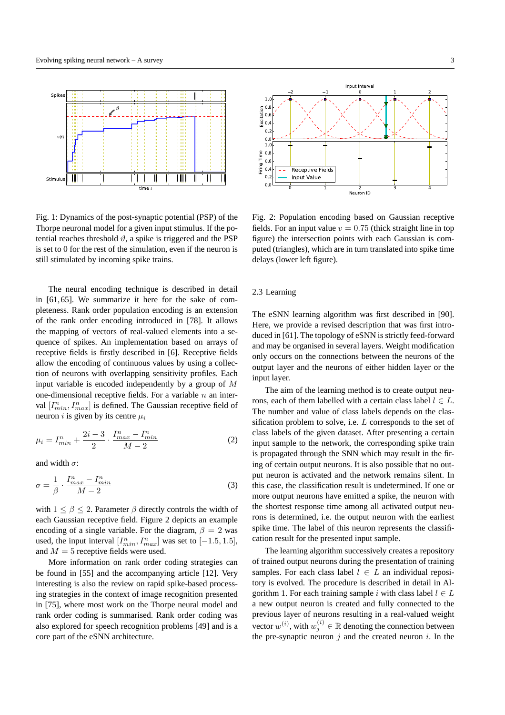

Fig. 1: Dynamics of the post-synaptic potential (PSP) of the Thorpe neuronal model for a given input stimulus. If the potential reaches threshold  $\vartheta$ , a spike is triggered and the PSP is set to 0 for the rest of the simulation, even if the neuron is still stimulated by incoming spike trains.

The neural encoding technique is described in detail in [61,65]. We summarize it here for the sake of completeness. Rank order population encoding is an extension of the rank order encoding introduced in [78]. It allows the mapping of vectors of real-valued elements into a sequence of spikes. An implementation based on arrays of receptive fields is firstly described in [6]. Receptive fields allow the encoding of continuous values by using a collection of neurons with overlapping sensitivity profiles. Each input variable is encoded independently by a group of M one-dimensional receptive fields. For a variable  $n$  an interval  $[I_{min}^n, I_{max}^n]$  is defined. The Gaussian receptive field of neuron i is given by its centre  $\mu_i$ 

$$
\mu_i = I_{min}^n + \frac{2i - 3}{2} \cdot \frac{I_{max}^n - I_{min}^n}{M - 2}
$$
 (2)

and width  $\sigma$ :

$$
\sigma = \frac{1}{\beta} \cdot \frac{I_{max}^n - I_{min}^n}{M - 2} \tag{3}
$$

with  $1 \leq \beta \leq 2$ . Parameter  $\beta$  directly controls the width of each Gaussian receptive field. Figure 2 depicts an example encoding of a single variable. For the diagram,  $\beta = 2$  was used, the input interval  $[I_{min}^n, I_{max}^n]$  was set to  $[-1.5, 1.5]$ , and  $M = 5$  receptive fields were used.

More information on rank order coding strategies can be found in [55] and the accompanying article [12]. Very interesting is also the review on rapid spike-based processing strategies in the context of image recognition presented in [75], where most work on the Thorpe neural model and rank order coding is summarised. Rank order coding was also explored for speech recognition problems [49] and is a core part of the eSNN architecture.



Fig. 2: Population encoding based on Gaussian receptive fields. For an input value  $v = 0.75$  (thick straight line in top figure) the intersection points with each Gaussian is computed (triangles), which are in turn translated into spike time delays (lower left figure).

# 2.3 Learning

The eSNN learning algorithm was first described in [90]. Here, we provide a revised description that was first introduced in [61]. The topology of eSNN is strictly feed-forward and may be organised in several layers. Weight modification only occurs on the connections between the neurons of the output layer and the neurons of either hidden layer or the input layer.

The aim of the learning method is to create output neurons, each of them labelled with a certain class label  $l \in L$ . The number and value of class labels depends on the classification problem to solve, i.e. L corresponds to the set of class labels of the given dataset. After presenting a certain input sample to the network, the corresponding spike train is propagated through the SNN which may result in the firing of certain output neurons. It is also possible that no output neuron is activated and the network remains silent. In this case, the classification result is undetermined. If one or more output neurons have emitted a spike, the neuron with the shortest response time among all activated output neurons is determined, i.e. the output neuron with the earliest spike time. The label of this neuron represents the classification result for the presented input sample.

The learning algorithm successively creates a repository of trained output neurons during the presentation of training samples. For each class label  $l \in L$  an individual repository is evolved. The procedure is described in detail in Algorithm 1. For each training sample i with class label  $l \in L$ a new output neuron is created and fully connected to the previous layer of neurons resulting in a real-valued weight vector  $w^{(i)}$ , with  $w_j^{(i)} \in \mathbb{R}$  denoting the connection between the pre-synaptic neuron  $j$  and the created neuron  $i$ . In the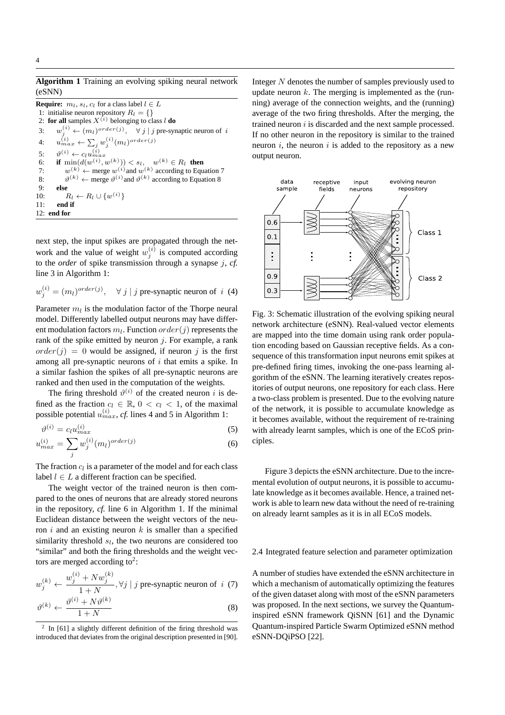**Require:**  $m_l$ ,  $s_l$ ,  $c_l$  for a class label  $l \in L$ 1: initialise neuron repository  $R_l = \{\}$ 2: **for all** samples  $X^{(i)}$  belonging to class l **do** 3:  $w_j^{(i)} \leftarrow (m_l)^{order(j)}, \quad \forall j \mid j$  pre-synaptic neuron of i 4:  $u_{max}^{(i)} \leftarrow \sum_j w_j^{(i)}(m_l)^{order(j)}$ 5:<br>6:  $(i) \leftarrow c_l u_{max}^{(i)}$ 6: **if**  $\min(d(w^{(i)}, w^{(k)})) < s_l, w^{(k)} \in R_l$  **then** 7:  $w^{(k)} \leftarrow$  merge  $w^{(i)}$  and  $w^{(k)}$  according to Equation 7 8:  $\vartheta^{(k)} \leftarrow \text{merge } \vartheta^{(i)} \text{and } \vartheta^{(k)} \text{ according to Equation 8}$ 9: **else** 10:  $R_l \leftarrow R_l \cup \{w^{(i)}\}$ 11: **end if** 12: **end for**

next step, the input spikes are propagated through the network and the value of weight  $w_j^{(i)}$  is computed according to the *order* of spike transmission through a synapse j, *cf.* line 3 in Algorithm 1:

 $w_j^{(i)} = (m_l)^{order(j)}, \quad \forall j \mid j$  pre-synaptic neuron of i (4)

Parameter  $m_l$  is the modulation factor of the Thorpe neural model. Differently labelled output neurons may have different modulation factors  $m_l$ . Function  $order(j)$  represents the rank of the spike emitted by neuron  $i$ . For example, a rank  $order(j) = 0$  would be assigned, if neuron j is the first among all pre-synaptic neurons of  $i$  that emits a spike. In a similar fashion the spikes of all pre-synaptic neurons are ranked and then used in the computation of the weights.

The firing threshold  $\vartheta^{(i)}$  of the created neuron i is defined as the fraction  $c_l \in \mathbb{R}$ ,  $0 < c_l < 1$ , of the maximal possible potential  $u_{max}^{(i)}$ , *cf.* lines 4 and 5 in Algorithm 1:

$$
\vartheta^{(i)} = c_l u_{max}^{(i)}
$$
\n
$$
u_{max}^{(i)} = \sum w_i^{(i)} (m_l)^{order(j)}
$$
\n(5)

$$
u_{max}^{(i)} = \sum_{j} w_j^{(i)} (m_l)^{order(j)} \tag{6}
$$

The fraction  $c_l$  is a parameter of the model and for each class label  $l \in L$  a different fraction can be specified.

The weight vector of the trained neuron is then compared to the ones of neurons that are already stored neurons in the repository, *cf.* line 6 in Algorithm 1. If the minimal Euclidean distance between the weight vectors of the neuron  $i$  and an existing neuron  $k$  is smaller than a specified similarity threshold  $s_l$ , the two neurons are considered too "similar" and both the firing thresholds and the weight vectors are merged according to<sup>2</sup>:

$$
w_j^{(k)} \leftarrow \frac{w_j^{(i)} + Nw_j^{(k)}}{1 + N}, \forall j \mid j \text{ pre-synaptic neuron of } i \text{ (7)}
$$
  

$$
\vartheta^{(k)} \leftarrow \frac{\vartheta^{(i)} + N\vartheta^{(k)}}{1 + N}
$$
 (8)

Integer N denotes the number of samples previously used to update neuron  $k$ . The merging is implemented as the (running) average of the connection weights, and the (running) average of the two firing thresholds. After the merging, the trained neuron  $i$  is discarded and the next sample processed. If no other neuron in the repository is similar to the trained neuron i, the neuron i is added to the repository as a new output neuron.



Fig. 3: Schematic illustration of the evolving spiking neural network architecture (eSNN). Real-valued vector elements are mapped into the time domain using rank order population encoding based on Gaussian receptive fields. As a consequence of this transformation input neurons emit spikes at pre-defined firing times, invoking the one-pass learning algorithm of the eSNN. The learning iteratively creates repositories of output neurons, one repository for each class. Here a two-class problem is presented. Due to the evolving nature of the network, it is possible to accumulate knowledge as it becomes available, without the requirement of re-training with already learnt samples, which is one of the ECoS principles.

Figure 3 depicts the eSNN architecture. Due to the incremental evolution of output neurons, it is possible to accumulate knowledge as it becomes available. Hence, a trained network is able to learn new data without the need of re-training on already learnt samples as it is in all ECoS models.

## 2.4 Integrated feature selection and parameter optimization

A number of studies have extended the eSNN architecture in which a mechanism of automatically optimizing the features of the given dataset along with most of the eSNN parameters was proposed. In the next sections, we survey the Quantuminspired eSNN framework QiSNN [61] and the Dynamic Quantum-inspired Particle Swarm Optimized eSNN method eSNN-DQiPSO [22].

 $2$  In [61] a slightly different definition of the firing threshold was introduced that deviates from the original description presented in [90].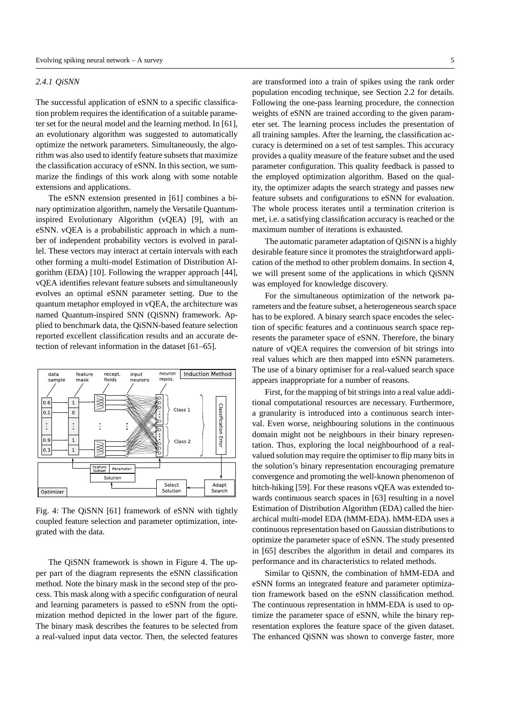# *2.4.1 QiSNN*

The successful application of eSNN to a specific classification problem requires the identification of a suitable parameter set for the neural model and the learning method. In [61], an evolutionary algorithm was suggested to automatically optimize the network parameters. Simultaneously, the algorithm was also used to identify feature subsets that maximize the classification accuracy of eSNN. In this section, we summarize the findings of this work along with some notable extensions and applications.

The eSNN extension presented in [61] combines a binary optimization algorithm, namely the Versatile Quantuminspired Evolutionary Algorithm (vQEA) [9], with an eSNN. vQEA is a probabilistic approach in which a number of independent probability vectors is evolved in parallel. These vectors may interact at certain intervals with each other forming a multi-model Estimation of Distribution Algorithm (EDA) [10]. Following the wrapper approach [44], vQEA identifies relevant feature subsets and simultaneously evolves an optimal eSNN parameter setting. Due to the quantum metaphor employed in vQEA, the architecture was named Quantum-inspired SNN (QiSNN) framework. Applied to benchmark data, the QiSNN-based feature selection reported excellent classification results and an accurate detection of relevant information in the dataset [61–65].



Fig. 4: The QiSNN [61] framework of eSNN with tightly coupled feature selection and parameter optimization, integrated with the data.

The QiSNN framework is shown in Figure 4. The upper part of the diagram represents the eSNN classification method. Note the binary mask in the second step of the process. This mask along with a specific configuration of neural and learning parameters is passed to eSNN from the optimization method depicted in the lower part of the figure. The binary mask describes the features to be selected from a real-valued input data vector. Then, the selected features

are transformed into a train of spikes using the rank order population encoding technique, see Section 2.2 for details. Following the one-pass learning procedure, the connection weights of eSNN are trained according to the given parameter set. The learning process includes the presentation of all training samples. After the learning, the classification accuracy is determined on a set of test samples. This accuracy provides a quality measure of the feature subset and the used parameter configuration. This quality feedback is passed to the employed optimization algorithm. Based on the quality, the optimizer adapts the search strategy and passes new feature subsets and configurations to eSNN for evaluation. The whole process iterates until a termination criterion is met, i.e. a satisfying classification accuracy is reached or the maximum number of iterations is exhausted.

The automatic parameter adaptation of QiSNN is a highly desirable feature since it promotes the straightforward application of the method to other problem domains. In section 4, we will present some of the applications in which QiSNN was employed for knowledge discovery.

For the simultaneous optimization of the network parameters and the feature subset, a heterogeneous search space has to be explored. A binary search space encodes the selection of specific features and a continuous search space represents the parameter space of eSNN. Therefore, the binary nature of vQEA requires the conversion of bit strings into real values which are then mapped into eSNN parameters. The use of a binary optimiser for a real-valued search space appears inappropriate for a number of reasons.

First, for the mapping of bit strings into a real value additional computational resources are necessary. Furthermore, a granularity is introduced into a continuous search interval. Even worse, neighbouring solutions in the continuous domain might not be neighbours in their binary representation. Thus, exploring the local neighbourhood of a realvalued solution may require the optimiser to flip many bits in the solution's binary representation encouraging premature convergence and promoting the well-known phenomenon of hitch-hiking [59]. For these reasons vQEA was extended towards continuous search spaces in [63] resulting in a novel Estimation of Distribution Algorithm (EDA) called the hierarchical multi-model EDA (hMM-EDA). hMM-EDA uses a continuous representation based on Gaussian distributions to optimize the parameter space of eSNN. The study presented in [65] describes the algorithm in detail and compares its performance and its characteristics to related methods.

Similar to QiSNN, the combination of hMM-EDA and eSNN forms an integrated feature and parameter optimization framework based on the eSNN classification method. The continuous representation in hMM-EDA is used to optimize the parameter space of eSNN, while the binary representation explores the feature space of the given dataset. The enhanced QiSNN was shown to converge faster, more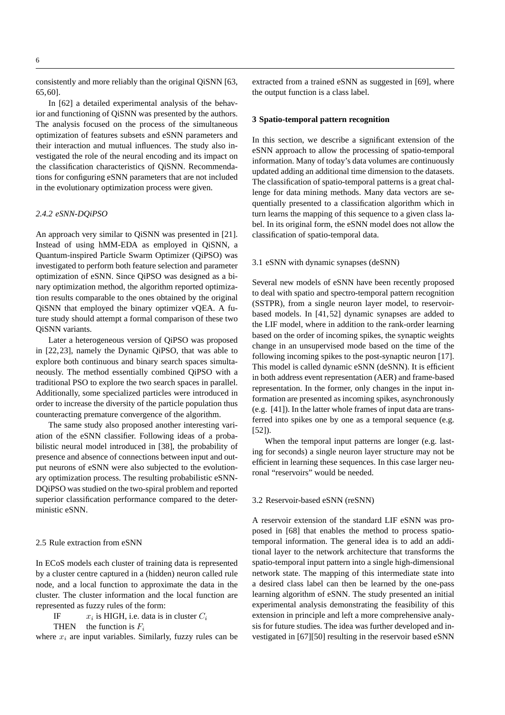consistently and more reliably than the original QiSNN [63, 65,60].

In [62] a detailed experimental analysis of the behavior and functioning of QiSNN was presented by the authors. The analysis focused on the process of the simultaneous optimization of features subsets and eSNN parameters and their interaction and mutual influences. The study also investigated the role of the neural encoding and its impact on the classification characteristics of QiSNN. Recommendations for configuring eSNN parameters that are not included in the evolutionary optimization process were given.

## *2.4.2 eSNN-DQiPSO*

An approach very similar to QiSNN was presented in [21]. Instead of using hMM-EDA as employed in QiSNN, a Quantum-inspired Particle Swarm Optimizer (QiPSO) was investigated to perform both feature selection and parameter optimization of eSNN. Since QiPSO was designed as a binary optimization method, the algorithm reported optimization results comparable to the ones obtained by the original QiSNN that employed the binary optimizer vQEA. A future study should attempt a formal comparison of these two QiSNN variants.

Later a heterogeneous version of QiPSO was proposed in [22,23], namely the Dynamic QiPSO, that was able to explore both continuous and binary search spaces simultaneously. The method essentially combined QiPSO with a traditional PSO to explore the two search spaces in parallel. Additionally, some specialized particles were introduced in order to increase the diversity of the particle population thus counteracting premature convergence of the algorithm.

The same study also proposed another interesting variation of the eSNN classifier. Following ideas of a probabilistic neural model introduced in [38], the probability of presence and absence of connections between input and output neurons of eSNN were also subjected to the evolutionary optimization process. The resulting probabilistic eSNN-DQiPSO was studied on the two-spiral problem and reported superior classification performance compared to the deterministic eSNN.

# 2.5 Rule extraction from eSNN

In ECoS models each cluster of training data is represented by a cluster centre captured in a (hidden) neuron called rule node, and a local function to approximate the data in the cluster. The cluster information and the local function are represented as fuzzy rules of the form:

IF  $x_i$  is HIGH, i.e. data is in cluster  $C_i$ 

THEN the function is  $F_i$ 

where  $x_i$  are input variables. Similarly, fuzzy rules can be

extracted from a trained eSNN as suggested in [69], where the output function is a class label.

# **3 Spatio-temporal pattern recognition**

In this section, we describe a significant extension of the eSNN approach to allow the processing of spatio-temporal information. Many of today's data volumes are continuously updated adding an additional time dimension to the datasets. The classification of spatio-temporal patterns is a great challenge for data mining methods. Many data vectors are sequentially presented to a classification algorithm which in turn learns the mapping of this sequence to a given class label. In its original form, the eSNN model does not allow the classification of spatio-temporal data.

#### 3.1 eSNN with dynamic synapses (deSNN)

Several new models of eSNN have been recently proposed to deal with spatio and spectro-temporal pattern recognition (SSTPR), from a single neuron layer model, to reservoirbased models. In [41,52] dynamic synapses are added to the LIF model, where in addition to the rank-order learning based on the order of incoming spikes, the synaptic weights change in an unsupervised mode based on the time of the following incoming spikes to the post-synaptic neuron [17]. This model is called dynamic eSNN (deSNN). It is efficient in both address event representation (AER) and frame-based representation. In the former, only changes in the input information are presented as incoming spikes, asynchronously (e.g. [41]). In the latter whole frames of input data are transferred into spikes one by one as a temporal sequence (e.g. [52]).

When the temporal input patterns are longer (e.g. lasting for seconds) a single neuron layer structure may not be efficient in learning these sequences. In this case larger neuronal "reservoirs" would be needed.

## 3.2 Reservoir-based eSNN (reSNN)

A reservoir extension of the standard LIF eSNN was proposed in [68] that enables the method to process spatiotemporal information. The general idea is to add an additional layer to the network architecture that transforms the spatio-temporal input pattern into a single high-dimensional network state. The mapping of this intermediate state into a desired class label can then be learned by the one-pass learning algorithm of eSNN. The study presented an initial experimental analysis demonstrating the feasibility of this extension in principle and left a more comprehensive analysis for future studies. The idea was further developed and investigated in [67][50] resulting in the reservoir based eSNN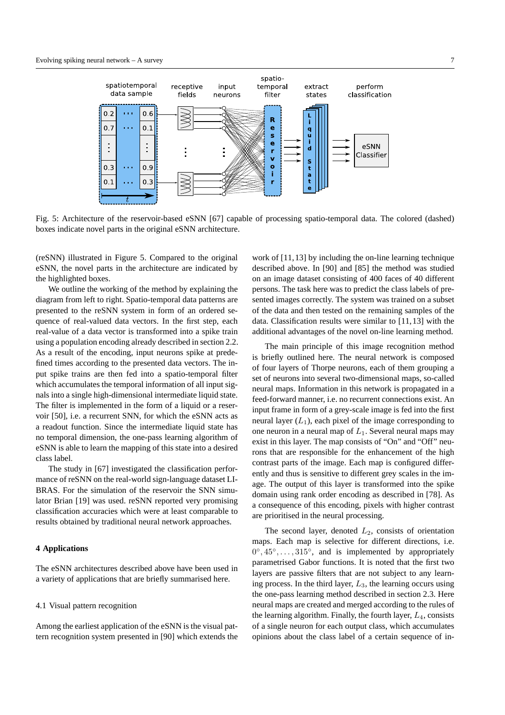

Fig. 5: Architecture of the reservoir-based eSNN [67] capable of processing spatio-temporal data. The colored (dashed) boxes indicate novel parts in the original eSNN architecture.

(reSNN) illustrated in Figure 5. Compared to the original eSNN, the novel parts in the architecture are indicated by the highlighted boxes.

We outline the working of the method by explaining the diagram from left to right. Spatio-temporal data patterns are presented to the reSNN system in form of an ordered sequence of real-valued data vectors. In the first step, each real-value of a data vector is transformed into a spike train using a population encoding already described in section 2.2. As a result of the encoding, input neurons spike at predefined times according to the presented data vectors. The input spike trains are then fed into a spatio-temporal filter which accumulates the temporal information of all input signals into a single high-dimensional intermediate liquid state. The filter is implemented in the form of a liquid or a reservoir [50], i.e. a recurrent SNN, for which the eSNN acts as a readout function. Since the intermediate liquid state has no temporal dimension, the one-pass learning algorithm of eSNN is able to learn the mapping of this state into a desired class label.

The study in [67] investigated the classification performance of reSNN on the real-world sign-language dataset LI-BRAS. For the simulation of the reservoir the SNN simulator Brian [19] was used. reSNN reported very promising classification accuracies which were at least comparable to results obtained by traditional neural network approaches.

# **4 Applications**

The eSNN architectures described above have been used in a variety of applications that are briefly summarised here.

# 4.1 Visual pattern recognition

Among the earliest application of the eSNN is the visual pattern recognition system presented in [90] which extends the work of [11,13] by including the on-line learning technique described above. In [90] and [85] the method was studied on an image dataset consisting of 400 faces of 40 different persons. The task here was to predict the class labels of presented images correctly. The system was trained on a subset of the data and then tested on the remaining samples of the data. Classification results were similar to [11,13] with the additional advantages of the novel on-line learning method.

The main principle of this image recognition method is briefly outlined here. The neural network is composed of four layers of Thorpe neurons, each of them grouping a set of neurons into several two-dimensional maps, so-called neural maps. Information in this network is propagated in a feed-forward manner, i.e. no recurrent connections exist. An input frame in form of a grey-scale image is fed into the first neural layer  $(L_1)$ , each pixel of the image corresponding to one neuron in a neural map of  $L_1$ . Several neural maps may exist in this layer. The map consists of "On" and "Off" neurons that are responsible for the enhancement of the high contrast parts of the image. Each map is configured differently and thus is sensitive to different grey scales in the image. The output of this layer is transformed into the spike domain using rank order encoding as described in [78]. As a consequence of this encoding, pixels with higher contrast are prioritised in the neural processing.

The second layer, denoted  $L_2$ , consists of orientation maps. Each map is selective for different directions, i.e.  $0^\circ, 45^\circ, \ldots, 315^\circ$ , and is implemented by appropriately parametrised Gabor functions. It is noted that the first two layers are passive filters that are not subject to any learning process. In the third layer,  $L_3$ , the learning occurs using the one-pass learning method described in section 2.3. Here neural maps are created and merged according to the rules of the learning algorithm. Finally, the fourth layer,  $L_4$ , consists of a single neuron for each output class, which accumulates opinions about the class label of a certain sequence of in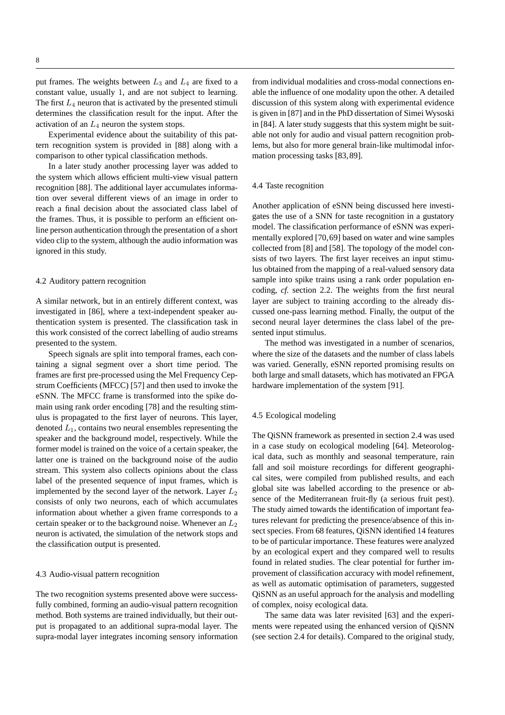put frames. The weights between  $L_3$  and  $L_4$  are fixed to a constant value, usually 1, and are not subject to learning. The first  $L_4$  neuron that is activated by the presented stimuli determines the classification result for the input. After the activation of an  $L_4$  neuron the system stops.

Experimental evidence about the suitability of this pattern recognition system is provided in [88] along with a comparison to other typical classification methods.

In a later study another processing layer was added to the system which allows efficient multi-view visual pattern recognition [88]. The additional layer accumulates information over several different views of an image in order to reach a final decision about the associated class label of the frames. Thus, it is possible to perform an efficient online person authentication through the presentation of a short video clip to the system, although the audio information was ignored in this study.

### 4.2 Auditory pattern recognition

A similar network, but in an entirely different context, was investigated in [86], where a text-independent speaker authentication system is presented. The classification task in this work consisted of the correct labelling of audio streams presented to the system.

Speech signals are split into temporal frames, each containing a signal segment over a short time period. The frames are first pre-processed using the Mel Frequency Cepstrum Coefficients (MFCC) [57] and then used to invoke the eSNN. The MFCC frame is transformed into the spike domain using rank order encoding [78] and the resulting stimulus is propagated to the first layer of neurons. This layer, denoted  $L_1$ , contains two neural ensembles representing the speaker and the background model, respectively. While the former model is trained on the voice of a certain speaker, the latter one is trained on the background noise of the audio stream. This system also collects opinions about the class label of the presented sequence of input frames, which is implemented by the second layer of the network. Layer  $L_2$ consists of only two neurons, each of which accumulates information about whether a given frame corresponds to a certain speaker or to the background noise. Whenever an  $L_2$ neuron is activated, the simulation of the network stops and the classification output is presented.

# 4.3 Audio-visual pattern recognition

The two recognition systems presented above were successfully combined, forming an audio-visual pattern recognition method. Both systems are trained individually, but their output is propagated to an additional supra-modal layer. The supra-modal layer integrates incoming sensory information

from individual modalities and cross-modal connections enable the influence of one modality upon the other. A detailed discussion of this system along with experimental evidence is given in [87] and in the PhD dissertation of Simei Wysoski in [84]. A later study suggests that this system might be suitable not only for audio and visual pattern recognition problems, but also for more general brain-like multimodal information processing tasks [83,89].

## 4.4 Taste recognition

Another application of eSNN being discussed here investigates the use of a SNN for taste recognition in a gustatory model. The classification performance of eSNN was experimentally explored [70,69] based on water and wine samples collected from [8] and [58]. The topology of the model consists of two layers. The first layer receives an input stimulus obtained from the mapping of a real-valued sensory data sample into spike trains using a rank order population encoding, *cf.* section 2.2. The weights from the first neural layer are subject to training according to the already discussed one-pass learning method. Finally, the output of the second neural layer determines the class label of the presented input stimulus.

The method was investigated in a number of scenarios, where the size of the datasets and the number of class labels was varied. Generally, eSNN reported promising results on both large and small datasets, which has motivated an FPGA hardware implementation of the system [91].

#### 4.5 Ecological modeling

The QiSNN framework as presented in section 2.4 was used in a case study on ecological modeling [64]. Meteorological data, such as monthly and seasonal temperature, rain fall and soil moisture recordings for different geographical sites, were compiled from published results, and each global site was labelled according to the presence or absence of the Mediterranean fruit-fly (a serious fruit pest). The study aimed towards the identification of important features relevant for predicting the presence/absence of this insect species. From 68 features, QiSNN identified 14 features to be of particular importance. These features were analyzed by an ecological expert and they compared well to results found in related studies. The clear potential for further improvement of classification accuracy with model refinement, as well as automatic optimisation of parameters, suggested QiSNN as an useful approach for the analysis and modelling of complex, noisy ecological data.

The same data was later revisited [63] and the experiments were repeated using the enhanced version of QiSNN (see section 2.4 for details). Compared to the original study,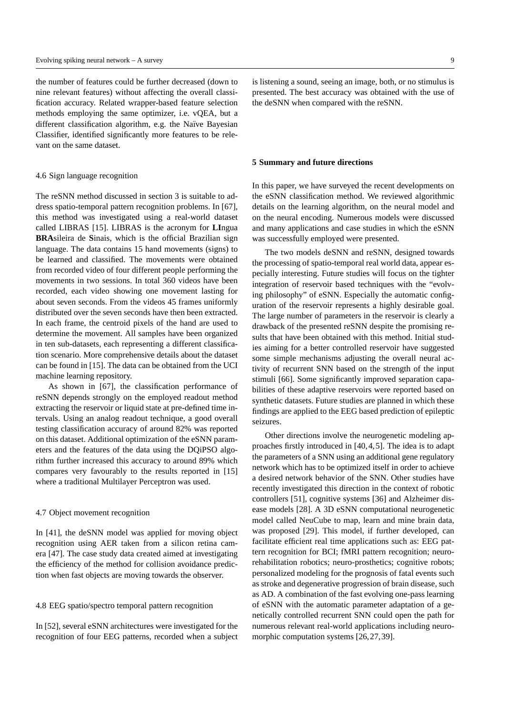the number of features could be further decreased (down to nine relevant features) without affecting the overall classification accuracy. Related wrapper-based feature selection methods employing the same optimizer, i.e. vQEA, but a different classification algorithm, e.g. the Naïve Bayesian Classifier, identified significantly more features to be relevant on the same dataset.

# 4.6 Sign language recognition

The reSNN method discussed in section 3 is suitable to address spatio-temporal pattern recognition problems. In [67], this method was investigated using a real-world dataset called LIBRAS [15]. LIBRAS is the acronym for **LI**ngua **BRA**sileira de **S**inais, which is the official Brazilian sign language. The data contains 15 hand movements (signs) to be learned and classified. The movements were obtained from recorded video of four different people performing the movements in two sessions. In total 360 videos have been recorded, each video showing one movement lasting for about seven seconds. From the videos 45 frames uniformly distributed over the seven seconds have then been extracted. In each frame, the centroid pixels of the hand are used to determine the movement. All samples have been organized in ten sub-datasets, each representing a different classification scenario. More comprehensive details about the dataset can be found in [15]. The data can be obtained from the UCI machine learning repository.

As shown in [67], the classification performance of reSNN depends strongly on the employed readout method extracting the reservoir or liquid state at pre-defined time intervals. Using an analog readout technique, a good overall testing classification accuracy of around 82% was reported on this dataset. Additional optimization of the eSNN parameters and the features of the data using the DQiPSO algorithm further increased this accuracy to around 89% which compares very favourably to the results reported in [15] where a traditional Multilayer Perceptron was used.

#### 4.7 Object movement recognition

In [41], the deSNN model was applied for moving object recognition using AER taken from a silicon retina camera [47]. The case study data created aimed at investigating the efficiency of the method for collision avoidance prediction when fast objects are moving towards the observer.

#### 4.8 EEG spatio/spectro temporal pattern recognition

In [52], several eSNN architectures were investigated for the recognition of four EEG patterns, recorded when a subject is listening a sound, seeing an image, both, or no stimulus is presented. The best accuracy was obtained with the use of the deSNN when compared with the reSNN.

## **5 Summary and future directions**

In this paper, we have surveyed the recent developments on the eSNN classification method. We reviewed algorithmic details on the learning algorithm, on the neural model and on the neural encoding. Numerous models were discussed and many applications and case studies in which the eSNN was successfully employed were presented.

The two models deSNN and reSNN, designed towards the processing of spatio-temporal real world data, appear especially interesting. Future studies will focus on the tighter integration of reservoir based techniques with the "evolving philosophy" of eSNN. Especially the automatic configuration of the reservoir represents a highly desirable goal. The large number of parameters in the reservoir is clearly a drawback of the presented reSNN despite the promising results that have been obtained with this method. Initial studies aiming for a better controlled reservoir have suggested some simple mechanisms adjusting the overall neural activity of recurrent SNN based on the strength of the input stimuli [66]. Some significantly improved separation capabilities of these adaptive reservoirs were reported based on synthetic datasets. Future studies are planned in which these findings are applied to the EEG based prediction of epileptic seizures.

Other directions involve the neurogenetic modeling approaches firstly introduced in [40,4,5]. The idea is to adapt the parameters of a SNN using an additional gene regulatory network which has to be optimized itself in order to achieve a desired network behavior of the SNN. Other studies have recently investigated this direction in the context of robotic controllers [51], cognitive systems [36] and Alzheimer disease models [28]. A 3D eSNN computational neurogenetic model called NeuCube to map, learn and mine brain data, was proposed [29]. This model, if further developed, can facilitate efficient real time applications such as: EEG pattern recognition for BCI; fMRI pattern recognition; neurorehabilitation robotics; neuro-prosthetics; cognitive robots; personalized modeling for the prognosis of fatal events such as stroke and degenerative progression of brain disease, such as AD. A combination of the fast evolving one-pass learning of eSNN with the automatic parameter adaptation of a genetically controlled recurrent SNN could open the path for numerous relevant real-world applications including neuromorphic computation systems [26,27,39].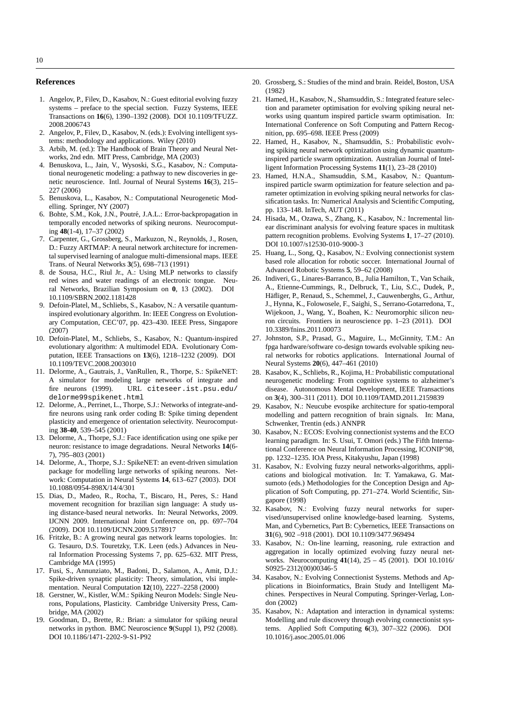# **References**

- 1. Angelov, P., Filev, D., Kasabov, N.: Guest editorial evolving fuzzy systems – preface to the special section. Fuzzy Systems, IEEE Transactions on **16**(6), 1390–1392 (2008). DOI 10.1109/TFUZZ. 2008.2006743
- 2. Angelov, P., Filev, D., Kasabov, N. (eds.): Evolving intelligent systems: methodology and applications. Wiley (2010)
- 3. Arbib, M. (ed.): The Handbook of Brain Theory and Neural Networks, 2nd edn. MIT Press, Cambridge, MA (2003)
- 4. Benuskova, L., Jain, V., Wysoski, S.G., Kasabov, N.: Computational neurogenetic modeling: a pathway to new discoveries in genetic neuroscience. Intl. Journal of Neural Systems **16**(3), 215– 227 (2006)
- 5. Benuskova, L., Kasabov, N.: Computational Neurogenetic Modelling. Springer, NY (2007)
- 6. Bohte, S.M., Kok, J.N., Poutré, J.A.L.: Error-backpropagation in temporally encoded networks of spiking neurons. Neurocomputing **48**(1-4), 17–37 (2002)
- 7. Carpenter, G., Grossberg, S., Markuzon, N., Reynolds, J., Rosen, D.: Fuzzy ARTMAP: A neural network architecture for incremental supervised learning of analogue multi-dimensional maps. IEEE Trans. of Neural Networks **3**(5), 698–713 (1991)
- 8. de Sousa, H.C., Riul Jr., A.: Using MLP networks to classify red wines and water readings of an electronic tongue. Neural Networks, Brazilian Symposium on **0**, 13 (2002). DOI 10.1109/SBRN.2002.1181428
- 9. Defoin-Platel, M., Schliebs, S., Kasabov, N.: A versatile quantuminspired evolutionary algorithm. In: IEEE Congress on Evolutionary Computation, CEC'07, pp. 423–430. IEEE Press, Singapore (2007)
- 10. Defoin-Platel, M., Schliebs, S., Kasabov, N.: Quantum-inspired evolutionary algorithm: A multimodel EDA. Evolutionary Computation, IEEE Transactions on **13**(6), 1218–1232 (2009). DOI 10.1109/TEVC.2008.2003010
- 11. Delorme, A., Gautrais, J., VanRullen, R., Thorpe, S.: SpikeNET: A simulator for modeling large networks of integrate and fire neurons (1999). URL citeseer.ist.psu.edu/ delorme99spikenet.html
- 12. Delorme, A., Perrinet, L., Thorpe, S.J.: Networks of integrate-andfire neurons using rank order coding B: Spike timing dependent plasticity and emergence of orientation selectivity. Neurocomputing **38-40**, 539–545 (2001)
- 13. Delorme, A., Thorpe, S.J.: Face identification using one spike per neuron: resistance to image degradations. Neural Networks **14**(6- 7), 795–803 (2001)
- 14. Delorme, A., Thorpe, S.J.: SpikeNET: an event-driven simulation package for modelling large networks of spiking neurons. Network: Computation in Neural Systems **14**, 613–627 (2003). DOI 10.1088/0954-898X/14/4/301
- 15. Dias, D., Madeo, R., Rocha, T., Biscaro, H., Peres, S.: Hand movement recognition for brazilian sign language: A study using distance-based neural networks. In: Neural Networks, 2009. IJCNN 2009. International Joint Conference on, pp. 697–704 (2009). DOI 10.1109/IJCNN.2009.5178917
- 16. Fritzke, B.: A growing neural gas network learns topologies. In: G. Tesauro, D.S. Touretzky, T.K. Leen (eds.) Advances in Neural Information Processing Systems 7, pp. 625–632. MIT Press, Cambridge MA (1995)
- 17. Fusi, S., Annunziato, M., Badoni, D., Salamon, A., Amit, D.J.: Spike-driven synaptic plasticity: Theory, simulation, vlsi implementation. Neural Computation **12**(10), 2227–2258 (2000)
- 18. Gerstner, W., Kistler, W.M.: Spiking Neuron Models: Single Neurons, Populations, Plasticity. Cambridge University Press, Cambridge, MA (2002)
- 19. Goodman, D., Brette, R.: Brian: a simulator for spiking neural networks in python. BMC Neuroscience **9**(Suppl 1), P92 (2008). DOI 10.1186/1471-2202-9-S1-P92
- 20. Grossberg, S.: Studies of the mind and brain. Reidel, Boston, USA (1982)
- 21. Hamed, H., Kasabov, N., Shamsuddin, S.: Integrated feature selection and parameter optimisation for evolving spiking neural networks using quantum inspired particle swarm optimisation. In: International Conference on Soft Computing and Pattern Recognition, pp. 695–698. IEEE Press (2009)
- 22. Hamed, H., Kasabov, N., Shamsuddin, S.: Probabilistic evolving spiking neural network optimization using dynamic quantuminspired particle swarm optimization. Australian Journal of Intelligent Information Processing Systems **11**(1), 23–28 (2010)
- 23. Hamed, H.N.A., Shamsuddin, S.M., Kasabov, N.: Quantuminspired particle swarm optimization for feature selection and parameter optimization in evolving spiking neural networks for classification tasks. In: Numerical Analysis and Scientific Computing, pp. 133–148. InTech, AUT (2011)
- 24. Hisada, M., Ozawa, S., Zhang, K., Kasabov, N.: Incremental linear discriminant analysis for evolving feature spaces in multitask pattern recognition problems. Evolving Systems **1**, 17–27 (2010). DOI 10.1007/s12530-010-9000-3
- 25. Huang, L., Song, Q., Kasabov, N.: Evolving connectionist system based role allocation for robotic soccer. International Journal of Advanced Robotic Systems **5**, 59–62 (2008)
- 26. Indiveri, G., Linares-Barranco, B., Julia Hamilton, T., Van Schaik, A., Etienne-Cummings, R., Delbruck, T., Liu, S.C., Dudek, P., Häfliger, P., Renaud, S., Schemmel, J., Cauwenberghs, G., Arthur, J., Hynna, K., Folowosele, F., Saighi, S., Serrano-Gotarredona, T., Wijekoon, J., Wang, Y., Boahen, K.: Neuromorphic silicon neuron circuits. Frontiers in neuroscience pp. 1–23 (2011). DOI 10.3389/fnins.2011.00073
- 27. Johnston, S.P., Prasad, G., Maguire, L., McGinnity, T.M.: An fpga hardware/software co-design towards evolvable spiking neural networks for robotics applications. International Journal of Neural Systems **20**(6), 447–461 (2010)
- 28. Kasabov, K., Schliebs, R., Kojima, H.: Probabilistic computational neurogenetic modeling: From cognitive systems to alzheimer's disease. Autonomous Mental Development, IEEE Transactions on **3**(4), 300–311 (2011). DOI 10.1109/TAMD.2011.2159839
- 29. Kasabov, N.: Neucube evospike architecture for spatio-temporal modelling and pattern recognition of brain signals. In: Mana, Schwenker, Trentin (eds.) ANNPR
- 30. Kasabov, N.: ECOS: Evolving connectionist systems and the ECO learning paradigm. In: S. Usui, T. Omori (eds.) The Fifth International Conference on Neural Information Processing, ICONIP'98, pp. 1232–1235. IOA Press, Kitakyushu, Japan (1998)
- 31. Kasabov, N.: Evolving fuzzy neural networks-algorithms, applications and biological motivation. In: T. Yamakawa, G. Matsumoto (eds.) Methodologies for the Conception Design and Application of Soft Computing, pp. 271–274. World Scientific, Singapore (1998)
- 32. Kasabov, N.: Evolving fuzzy neural networks for supervised/unsupervised online knowledge-based learning. Systems, Man, and Cybernetics, Part B: Cybernetics, IEEE Transactions on **31**(6), 902 –918 (2001). DOI 10.1109/3477.969494
- 33. Kasabov, N.: On-line learning, reasoning, rule extraction and aggregation in locally optimized evolving fuzzy neural networks. Neurocomputing **41**(14), 25 – 45 (2001). DOI 10.1016/ S0925-2312(00)00346-5
- 34. Kasabov, N.: Evolving Connectionist Systems. Methods and Applications in Bioinformatics, Brain Study and Intelligent Machines. Perspectives in Neural Computing. Springer-Verlag, London (2002)
- 35. Kasabov, N.: Adaptation and interaction in dynamical systems: Modelling and rule discovery through evolving connectionist systems. Applied Soft Computing **6**(3), 307–322 (2006). DOI 10.1016/j.asoc.2005.01.006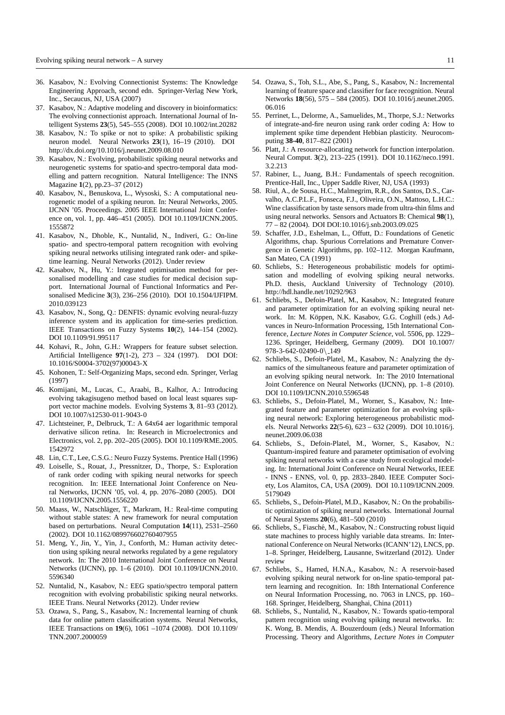- 36. Kasabov, N.: Evolving Connectionist Systems: The Knowledge Engineering Approach, second edn. Springer-Verlag New York, Inc., Secaucus, NJ, USA (2007)
- 37. Kasabov, N.: Adaptive modeling and discovery in bioinformatics: The evolving connectionist approach. International Journal of Intelligent Systems **23**(5), 545–555 (2008). DOI 10.1002/int.20282
- 38. Kasabov, N.: To spike or not to spike: A probabilistic spiking neuron model. Neural Networks **23**(1), 16–19 (2010). DOI http://dx.doi.org/10.1016/j.neunet.2009.08.010
- 39. Kasabov, N.: Evolving, probabilistic spiking neural networks and neurogenetic systems for spatio-and spectro-temporal data modelling and pattern recognition. Natural Intelligence: The INNS Magazine **1**(2), pp.23–37 (2012)
- 40. Kasabov, N., Benuskova, L., Wysoski, S.: A computational neurogenetic model of a spiking neuron. In: Neural Networks, 2005. IJCNN '05. Proceedings. 2005 IEEE International Joint Conference on, vol. 1, pp. 446–451 (2005). DOI 10.1109/IJCNN.2005. 1555872
- 41. Kasabov, N., Dhoble, K., Nuntalid, N., Indiveri, G.: On-line spatio- and spectro-temporal pattern recognition with evolving spiking neural networks utilising integrated rank oder- and spiketime learning. Neural Networks (2012). Under review
- 42. Kasabov, N., Hu, Y.: Integrated optimisation method for personalised modelling and case studies for medical decision support. International Journal of Functional Informatics and Personalised Medicine **3**(3), 236–256 (2010). DOI 10.1504/IJFIPM. 2010.039123
- 43. Kasabov, N., Song, Q.: DENFIS: dynamic evolving neural-fuzzy inference system and its application for time-series prediction. IEEE Transactions on Fuzzy Systems **10**(2), 144–154 (2002). DOI 10.1109/91.995117
- 44. Kohavi, R., John, G.H.: Wrappers for feature subset selection. Artificial Intelligence **97**(1-2), 273 – 324 (1997). DOI DOI: 10.1016/S0004-3702(97)00043-X
- 45. Kohonen, T.: Self-Organizing Maps, second edn. Springer, Verlag (1997)
- 46. Komijani, M., Lucas, C., Araabi, B., Kalhor, A.: Introducing evolving takagisugeno method based on local least squares support vector machine models. Evolving Systems **3**, 81–93 (2012). DOI 10.1007/s12530-011-9043-0
- 47. Lichtsteiner, P., Delbruck, T.: A 64x64 aer logarithmic temporal derivative silicon retina. In: Research in Microelectronics and Electronics, vol. 2, pp. 202–205 (2005). DOI 10.1109/RME.2005. 1542972
- 48. Lin, C.T., Lee, C.S.G.: Neuro Fuzzy Systems. Prentice Hall (1996)
- 49. Loiselle, S., Rouat, J., Pressnitzer, D., Thorpe, S.: Exploration of rank order coding with spiking neural networks for speech recognition. In: IEEE International Joint Conference on Neural Networks, IJCNN '05, vol. 4, pp. 2076–2080 (2005). DOI 10.1109/IJCNN.2005.1556220
- 50. Maass, W., Natschläger, T., Markram, H.: Real-time computing without stable states: A new framework for neural computation based on perturbations. Neural Computation **14**(11), 2531–2560 (2002). DOI 10.1162/089976602760407955
- 51. Meng, Y., Jin, Y., Yin, J., Conforth, M.: Human activity detection using spiking neural networks regulated by a gene regulatory network. In: The 2010 International Joint Conference on Neural Networks (IJCNN), pp. 1–6 (2010). DOI 10.1109/IJCNN.2010. 5596340
- 52. Nuntalid, N., Kasabov, N.: EEG spatio/spectro temporal pattern recognition with evolving probabilistic spiking neural networks. IEEE Trans. Neural Networks (2012). Under review
- 53. Ozawa, S., Pang, S., Kasabov, N.: Incremental learning of chunk data for online pattern classification systems. Neural Networks, IEEE Transactions on **19**(6), 1061 –1074 (2008). DOI 10.1109/ TNN.2007.2000059
- 54. Ozawa, S., Toh, S.L., Abe, S., Pang, S., Kasabov, N.: Incremental learning of feature space and classifier for face recognition. Neural Networks **18**(56), 575 – 584 (2005). DOI 10.1016/j.neunet.2005. 06.016
- 55. Perrinet, L., Delorme, A., Samuelides, M., Thorpe, S.J.: Networks of integrate-and-fire neuron using rank order coding A: How to implement spike time dependent Hebbian plasticity. Neurocomputing **38-40**, 817–822 (2001)
- 56. Platt, J.: A resource-allocating network for function interpolation. Neural Comput. **3**(2), 213–225 (1991). DOI 10.1162/neco.1991. 3.2.213
- 57. Rabiner, L., Juang, B.H.: Fundamentals of speech recognition. Prentice-Hall, Inc., Upper Saddle River, NJ, USA (1993)
- 58. Riul, A., de Sousa, H.C., Malmegrim, R.R., dos Santos, D.S., Carvalho, A.C.P.L.F., Fonseca, F.J., Oliveira, O.N., Mattoso, L.H.C.: Wine classification by taste sensors made from ultra-thin films and using neural networks. Sensors and Actuators B: Chemical **98**(1), 77 – 82 (2004). DOI DOI:10.1016/j.snb.2003.09.025
- 59. Schaffer, J.D., Eshelman, L., Offutt, D.: Foundations of Genetic Algorithms, chap. Spurious Correlations and Premature Convergence in Genetic Algorithms, pp. 102–112. Morgan Kaufmann, San Mateo, CA (1991)
- 60. Schliebs, S.: Heterogeneous probabilistic models for optimisation and modelling of evolving spiking neural networks. Ph.D. thesis, Auckland University of Technology (2010). http://hdl.handle.net/10292/963
- 61. Schliebs, S., Defoin-Platel, M., Kasabov, N.: Integrated feature and parameter optimization for an evolving spiking neural network. In: M. Köppen, N.K. Kasabov, G.G. Coghill (eds.) Advances in Neuro-Information Processing, 15th International Conference, *Lecture Notes in Computer Science*, vol. 5506, pp. 1229– 1236. Springer, Heidelberg, Germany (2009). DOI 10.1007/ 978-3-642-02490-0\ 149
- 62. Schliebs, S., Defoin-Platel, M., Kasabov, N.: Analyzing the dynamics of the simultaneous feature and parameter optimization of an evolving spiking neural network. In: The 2010 International Joint Conference on Neural Networks (IJCNN), pp. 1–8 (2010). DOI 10.1109/IJCNN.2010.5596548
- 63. Schliebs, S., Defoin-Platel, M., Worner, S., Kasabov, N.: Integrated feature and parameter optimization for an evolving spiking neural network: Exploring heterogeneous probabilistic models. Neural Networks **22**(5-6), 623 – 632 (2009). DOI 10.1016/j. neunet.2009.06.038
- 64. Schliebs, S., Defoin-Platel, M., Worner, S., Kasabov, N.: Quantum-inspired feature and parameter optimisation of evolving spiking neural networks with a case study from ecological modeling. In: International Joint Conference on Neural Networks, IEEE - INNS - ENNS, vol. 0, pp. 2833–2840. IEEE Computer Society, Los Alamitos, CA, USA (2009). DOI 10.1109/IJCNN.2009. 5179049
- 65. Schliebs, S., Defoin-Platel, M.D., Kasabov, N.: On the probabilistic optimization of spiking neural networks. International Journal of Neural Systems **20**(6), 481–500 (2010)
- 66. Schliebs, S., Fiasché, M., Kasabov, N.: Constructing robust liquid state machines to process highly variable data streams. In: International Conference on Neural Networks (ICANN'12), LNCS, pp. 1–8. Springer, Heidelberg, Lausanne, Switzerland (2012). Under review
- 67. Schliebs, S., Hamed, H.N.A., Kasabov, N.: A reservoir-based evolving spiking neural network for on-line spatio-temporal pattern learning and recognition. In: 18th International Conference on Neural Information Processing, no. 7063 in LNCS, pp. 160– 168. Springer, Heidelberg, Shanghai, China (2011)
- 68. Schliebs, S., Nuntalid, N., Kasabov, N.: Towards spatio-temporal pattern recognition using evolving spiking neural networks. In: K. Wong, B. Mendis, A. Bouzerdoum (eds.) Neural Information Processing. Theory and Algorithms, *Lecture Notes in Computer*